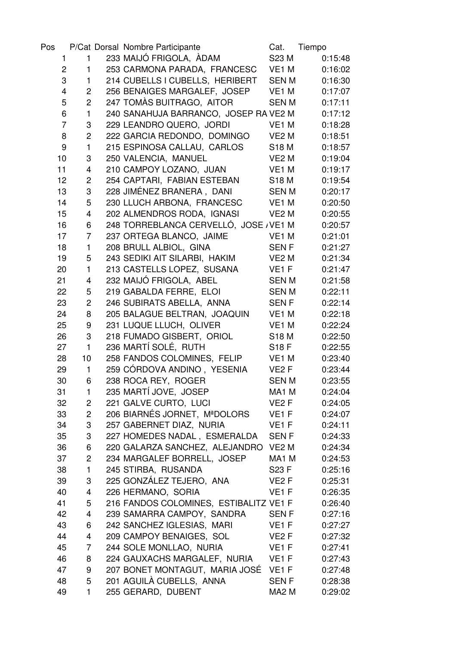| Pos            |                         | P/Cat Dorsal Nombre Participante       | Cat.              | Tiempo  |
|----------------|-------------------------|----------------------------------------|-------------------|---------|
| 1              | $\mathbf{1}$            | 233 MAIJÓ FRIGOLA, ÀDAM                | S23 M             | 0:15:48 |
| $\overline{c}$ | 1                       | 253 CARMONA PARADA, FRANCESC VE1 M     |                   | 0:16:02 |
| 3              | 1                       | 214 CUBELLS I CUBELLS, HERIBERT        | <b>SENM</b>       | 0:16:30 |
| 4              | $\overline{2}$          | 256 BENAIGES MARGALEF, JOSEP           | VE <sub>1</sub> M | 0:17:07 |
| 5              | $\overline{c}$          | 247 TOMAS BUITRAGO, AITOR              | <b>SENM</b>       | 0:17:11 |
| 6              | $\mathbf{1}$            | 240 SANAHUJA BARRANCO, JOSEP RA VE2 M  |                   | 0:17:12 |
| $\overline{7}$ | 3                       | 229 LEANDRO QUERO, JORDI               | VE <sub>1</sub> M | 0:18:28 |
| 8              | $\overline{c}$          | 222 GARCIA REDONDO, DOMINGO            | VE <sub>2</sub> M | 0:18:51 |
| 9              | $\mathbf{1}$            | 215 ESPINOSA CALLAU, CARLOS            | <b>S18 M</b>      | 0:18:57 |
| 10             | 3                       | 250 VALENCIA, MANUEL                   | VE <sub>2</sub> M | 0:19:04 |
| 11             | 4                       | 210 CAMPOY LOZANO, JUAN                | VE <sub>1</sub> M | 0:19:17 |
| 12             | $\overline{c}$          | 254 CAPTARI, FABIAN ESTEBAN            | <b>S18 M</b>      | 0:19:54 |
| 13             | 3                       | 228 JIMÉNEZ BRANERA, DANI              | <b>SENM</b>       | 0:20:17 |
| 14             | 5                       | 230 LLUCH ARBONA, FRANCESC             | VE <sub>1</sub> M | 0:20:50 |
| 15             | 4                       | 202 ALMENDROS RODA, IGNASI             | VE <sub>2</sub> M | 0:20:55 |
| 16             | 6                       | 248 TORREBLANCA CERVELLÓ, JOSE / VE1 M |                   | 0:20:57 |
| 17             | 7                       | 237 ORTEGA BLANCO, JAIME               | VE1 M             | 0:21:01 |
| 18             | $\mathbf{1}$            | 208 BRULL ALBIOL, GINA                 | <b>SENF</b>       | 0:21:27 |
| 19             | 5                       | 243 SEDIKI AIT SILARBI, HAKIM          | VE <sub>2</sub> M | 0:21:34 |
| 20             | $\mathbf{1}$            | 213 CASTELLS LOPEZ, SUSANA             | VE <sub>1</sub> F | 0:21:47 |
| 21             | 4                       | 232 MAIJÓ FRIGOLA, ABEL                | <b>SENM</b>       | 0:21:58 |
| 22             | 5                       | 219 GABALDA FERRE, ELOI                | <b>SENM</b>       | 0:22:11 |
| 23             | $\overline{c}$          | 246 SUBIRATS ABELLA, ANNA              | <b>SENF</b>       | 0:22:14 |
| 24             | 8                       | 205 BALAGUE BELTRAN, JOAQUIN           | VE1 M             | 0:22:18 |
| 25             | 9                       | 231 LUQUE LLUCH, OLIVER                | VE1 M             | 0:22:24 |
| 26             | 3                       | 218 FUMADO GISBERT, ORIOL              | <b>S18 M</b>      | 0:22:50 |
| 27             | $\mathbf{1}$            | 236 MARTÍ SOLÉ, RUTH                   | <b>S18 F</b>      | 0:22:55 |
| 28             | 10                      | 258 FANDOS COLOMINES, FELIP            | VE <sub>1</sub> M | 0:23:40 |
| 29             | $\mathbf{1}$            | 259 CÓRDOVA ANDINO, YESENIA            | VE <sub>2</sub> F | 0:23:44 |
| 30             | 6                       | 238 ROCA REY, ROGER                    | <b>SENM</b>       | 0:23:55 |
| 31             | 1                       | 235 MARTÍ JOVE, JOSEP                  | MA1 M             | 0:24:04 |
| 32             | $\overline{c}$          | 221 GALVE CURTO, LUCI                  | VE2 F             | 0:24:05 |
| 33             | $\overline{c}$          | 206 BIARNÉS JORNET, MªDOLORS           | VE <sub>1</sub> F | 0:24:07 |
| 34             | 3                       | 257 GABERNET DIAZ, NURIA               | VE <sub>1</sub> F | 0:24:11 |
| 35             | 3                       | 227 HOMEDES NADAL, ESMERALDA           | <b>SENF</b>       | 0:24:33 |
| 36             | 6                       | 220 GALARZA SANCHEZ, ALEJANDRO VE2 M   |                   | 0:24:34 |
| 37             | $\overline{2}$          | 234 MARGALEF BORRELL, JOSEP            | MA1 M             | 0:24:53 |
| 38             | $\mathbf{1}$            | 245 STIRBA, RUSANDA                    | S23 F             | 0:25:16 |
| 39             | 3                       | 225 GONZÁLEZ TEJERO, ANA               | VE <sub>2</sub> F | 0:25:31 |
| 40             | $\overline{\mathbf{4}}$ | 226 HERMANO, SORIA                     | VE1F              | 0:26:35 |
| 41             | 5                       | 216 FANDOS COLOMINES, ESTIBALITZ VE1 F |                   | 0:26:40 |
| 42             | 4                       | 239 SAMARRA CAMPOY, SANDRA             | <b>SENF</b>       | 0:27:16 |
| 43             | 6                       | 242 SANCHEZ IGLESIAS, MARI             | VE <sub>1</sub> F | 0:27:27 |
| 44             | 4                       | 209 CAMPOY BENAIGES, SOL               | VE <sub>2</sub> F | 0:27:32 |
| 45             | $\overline{7}$          | 244 SOLE MONLLAO, NURIA                | VE <sub>1</sub> F | 0:27:41 |
| 46             | 8                       | 224 GAUXACHS MARGALEF, NURIA           | VE1 F             | 0:27:43 |
| 47             | 9                       | 207 BONET MONTAGUT, MARIA JOSÉ VE1 F   |                   | 0:27:48 |
| 48             | 5                       | 201 AGUILÀ CUBELLS, ANNA               | <b>SENF</b>       | 0:28:38 |
| 49             | $\mathbf{1}$            | 255 GERARD, DUBENT                     | MA <sub>2</sub> M | 0:29:02 |